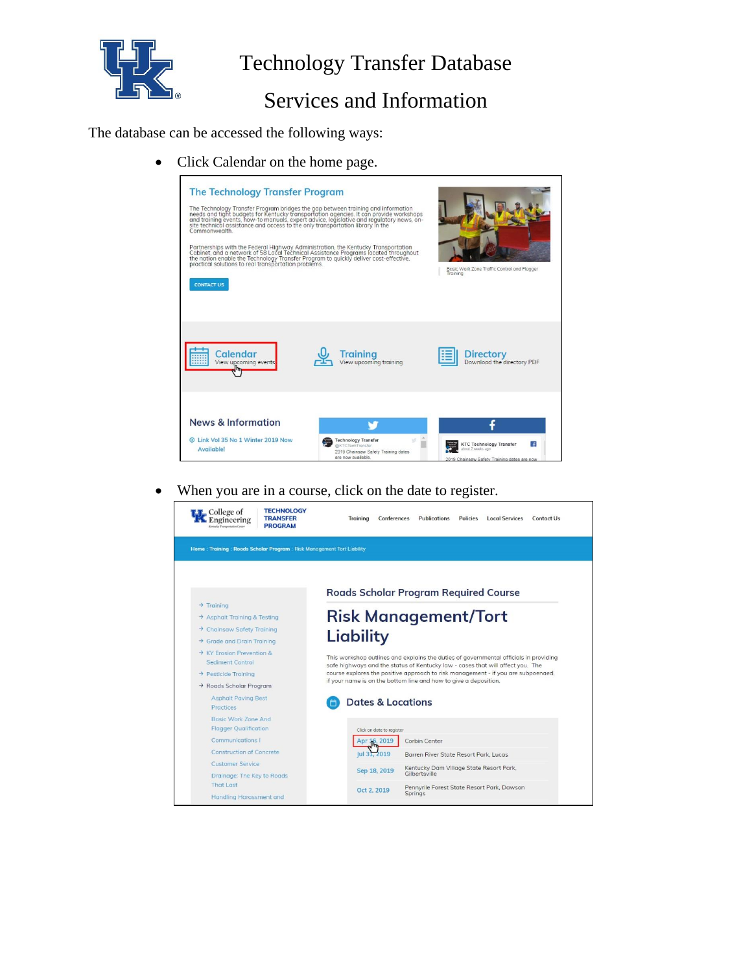

# Technology Transfer Database

### Services and Information

The database can be accessed the following ways:

• Click Calendar on the home page.



• When you are in a course, click on the date to register.

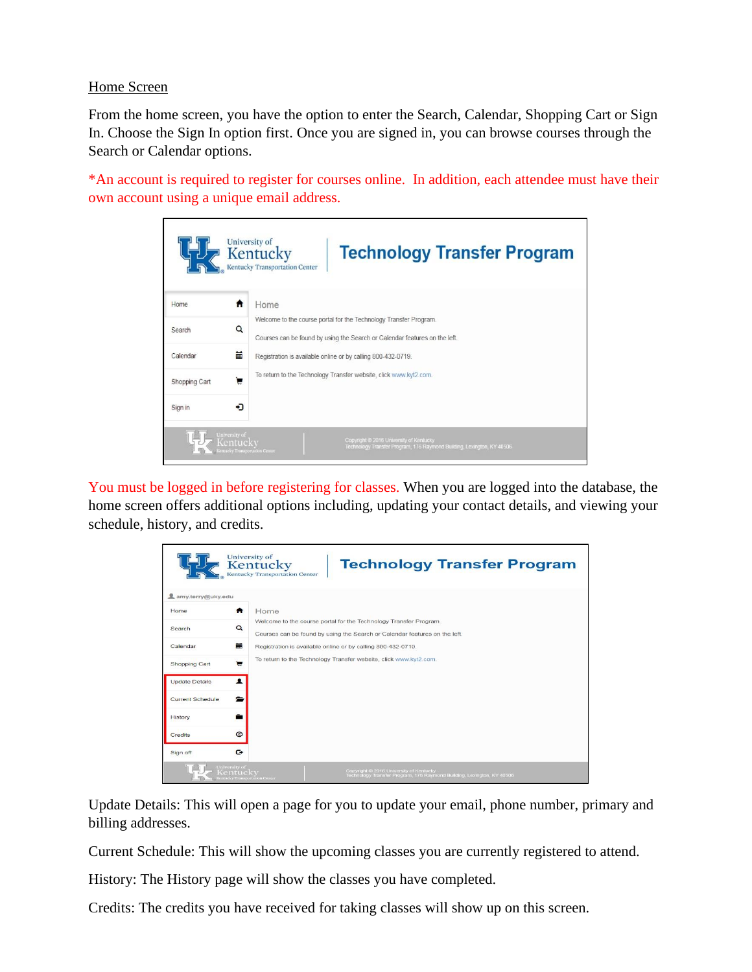#### Home Screen

From the home screen, you have the option to enter the Search, Calendar, Shopping Cart or Sign In. Choose the Sign In option first. Once you are signed in, you can browse courses through the Search or Calendar options.

\*An account is required to register for courses online. In addition, each attendee must have their own account using a unique email address.

|               | University of<br>Kentucky<br><b>Technology Transfer Program</b><br><b>Kentucky Transportation Center</b>                                                               |
|---------------|------------------------------------------------------------------------------------------------------------------------------------------------------------------------|
| Home          | Home<br>Ħ                                                                                                                                                              |
| Search        | Welcome to the course portal for the Technology Transfer Program.<br>Q<br>Courses can be found by using the Search or Calendar features on the left.                   |
| Calendar      | 黃<br>Registration is available online or by calling 800-432-0719.                                                                                                      |
| Shopping Cart | To return to the Technology Transfer website, click www.kyt2.com.<br>₩                                                                                                 |
| Sign in       | ⊷⊐                                                                                                                                                                     |
| University of | Copyright @ 2016 University of Kentucky<br>Kentuckv<br>Technology Transfer Program, 176 Raymond Building, Lexington, KY 40506<br><b>Centucky Transportation Center</b> |

You must be logged in before registering for classes. When you are logged into the database, the home screen offers additional options including, updating your contact details, and viewing your schedule, history, and credits.

|                         | University of<br><b>Technology Transfer Program</b><br>Kentucky<br><b>Kentucky Transportation Center</b>                                                                                |
|-------------------------|-----------------------------------------------------------------------------------------------------------------------------------------------------------------------------------------|
| amy.terry@uky.edu       |                                                                                                                                                                                         |
| Home                    | Home<br>A                                                                                                                                                                               |
| Search                  | Welcome to the course portal for the Technology Transfer Program.<br>$\alpha$<br>Courses can be found by using the Search or Calendar features on the left.                             |
| Calendar                | 扁<br>Registration is available online or by calling 800-432-0719.                                                                                                                       |
| Shopping Cart           | To return to the Technology Transfer website, click www.kyt2.com.<br>ਢ                                                                                                                  |
| <b>Update Details</b>   | $\bullet$                                                                                                                                                                               |
| <b>Current Schedule</b> | $\equiv$                                                                                                                                                                                |
| History                 |                                                                                                                                                                                         |
| <b>Credits</b>          | $\odot$                                                                                                                                                                                 |
| Sign off                | $\mathbf{G}$                                                                                                                                                                            |
|                         | University of<br>Kentucky<br>Copyright @ 2016 University of Kentucky<br>Technology Transfer Program, 176 Raymond Building, Lexington, KY 40506<br><b>Kentucky Transportation Center</b> |

Update Details: This will open a page for you to update your email, phone number, primary and billing addresses.

Current Schedule: This will show the upcoming classes you are currently registered to attend.

History: The History page will show the classes you have completed.

Credits: The credits you have received for taking classes will show up on this screen.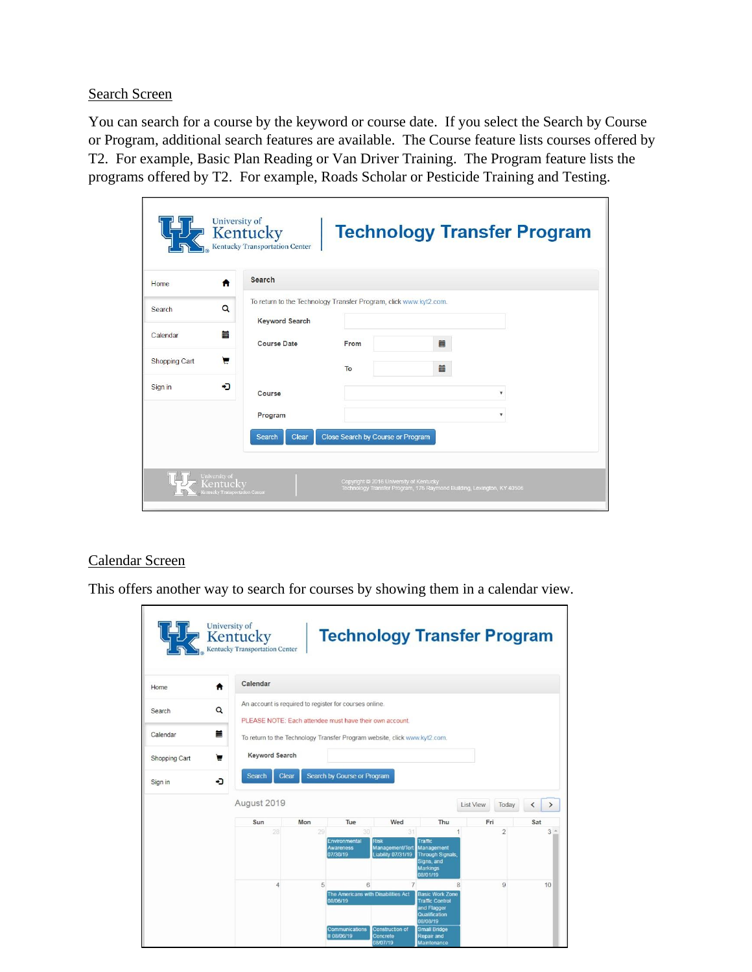#### Search Screen

You can search for a course by the keyword or course date. If you select the Search by Course or Program, additional search features are available. The Course feature lists courses offered by T2. For example, Basic Plan Reading or Van Driver Training. The Program feature lists the programs offered by T2. For example, Roads Scholar or Pesticide Training and Testing.

|                                                             | University of<br>Kentucky<br>Kentucky Transportation Center                                |                                         |                                                                        | <b>Technology Transfer Program</b> |
|-------------------------------------------------------------|--------------------------------------------------------------------------------------------|-----------------------------------------|------------------------------------------------------------------------|------------------------------------|
| ₳<br>Home                                                   | Search                                                                                     |                                         |                                                                        |                                    |
| Q<br>Search                                                 | To return to the Technology Transfer Program, click www.kyt2.com.<br><b>Keyword Search</b> |                                         |                                                                        |                                    |
| 盖<br>Calendar                                               | <b>Course Date</b>                                                                         | From                                    | 篇                                                                      |                                    |
| ਢ<br>Shopping Cart                                          |                                                                                            | To                                      | 篇                                                                      |                                    |
| ⇒า<br>Sign in                                               | Course                                                                                     |                                         |                                                                        | v                                  |
|                                                             | Program                                                                                    |                                         |                                                                        | v                                  |
|                                                             | <b>Search</b><br>Clear                                                                     | Close Search by Course or Program       |                                                                        |                                    |
|                                                             |                                                                                            |                                         |                                                                        |                                    |
| University of<br>Kentucky<br>Kentucky Transportation Center |                                                                                            | Copyright @ 2016 University of Kentucky | Technology Transfer Program, 176 Raymond Building, Lexington, KY 40506 |                                    |

#### Calendar Screen

This offers another way to search for courses by showing them in a calendar view.

| Home          | Calendar<br>Ħ                                                                                                          |     |                                                      |                                                            |                                                                                                               |           |                |                          |                |
|---------------|------------------------------------------------------------------------------------------------------------------------|-----|------------------------------------------------------|------------------------------------------------------------|---------------------------------------------------------------------------------------------------------------|-----------|----------------|--------------------------|----------------|
| Search        | An account is required to register for courses online.<br>Q<br>PLEASE NOTE: Each attendee must have their own account. |     |                                                      |                                                            |                                                                                                               |           |                |                          |                |
| Calendar      | Ħ<br>To return to the Technology Transfer Program website, click www.kyt2.com.                                         |     |                                                      |                                                            |                                                                                                               |           |                |                          |                |
| Shopping Cart | Keyword Search<br>►                                                                                                    |     |                                                      |                                                            |                                                                                                               |           |                |                          |                |
| Sign in       | Search<br>Clear<br>۰D                                                                                                  |     | Search by Course or Program                          |                                                            |                                                                                                               |           |                |                          |                |
|               |                                                                                                                        |     |                                                      |                                                            |                                                                                                               |           |                |                          |                |
|               | August 2019                                                                                                            |     |                                                      |                                                            |                                                                                                               | List View | Today          | $\overline{\phantom{a}}$ | ゝ              |
|               | Sun                                                                                                                    | Mon | Tue                                                  | Wed                                                        | Thu                                                                                                           | Fri       |                | Sat                      |                |
|               | 28                                                                                                                     | 29  | 30<br>Environmental<br><b>Awareness</b><br>07/30/19  | 31<br>Risk<br>Management/Tort<br><b>Liability 07/31/19</b> | <b>Traffic</b><br>Management<br><b>Through Signals</b><br>Signs, and<br><b>Markings</b>                       |           | $\overline{2}$ |                          | 3 <sup>2</sup> |
|               | 4                                                                                                                      | 5   | 6<br>The Americans with Disabilities Act<br>08/06/19 | $\overline{7}$                                             | 08/01/19<br>R<br><b>Basic Work Zone</b><br><b>Traffic Control</b><br>and Flagger<br>Qualification<br>08/08/19 |           | 9              |                          | 10             |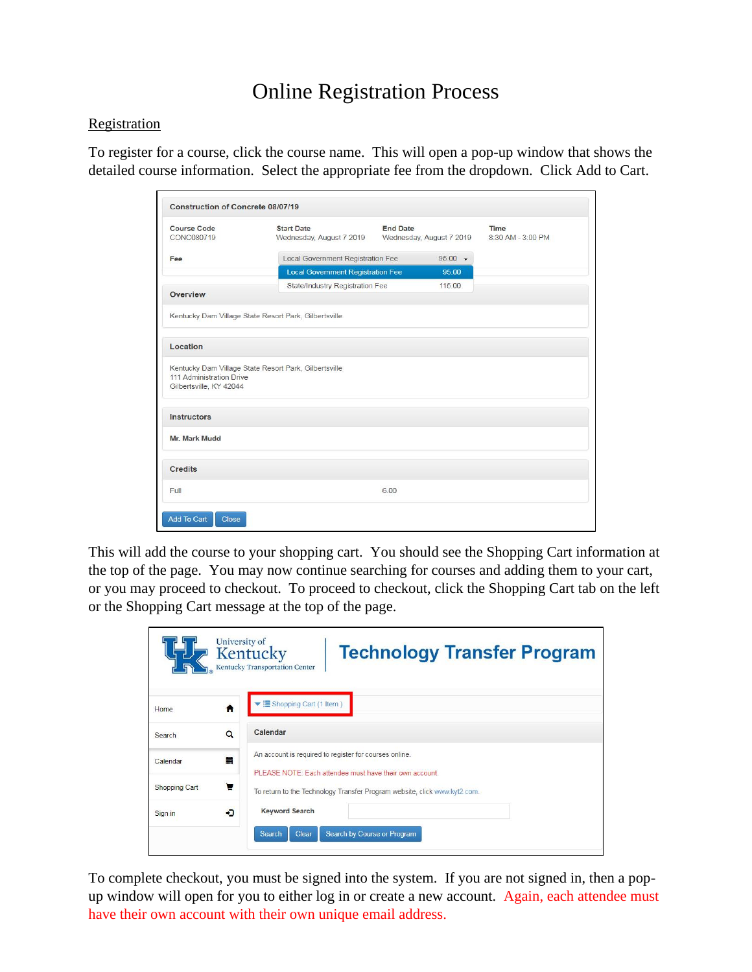## Online Registration Process

#### **Registration**

To register for a course, click the course name. This will open a pop-up window that shows the detailed course information. Select the appropriate fee from the dropdown. Click Add to Cart.

| CONC080719                                          | <b>Start Date</b><br>Wednesday, August 7 2019         | <b>End Date</b><br>Wednesday, August 7 2019 |  |
|-----------------------------------------------------|-------------------------------------------------------|---------------------------------------------|--|
| Fee                                                 | Local Government Registration Fee                     | $95.00 -$                                   |  |
|                                                     | <b>Local Government Registration Fee</b>              | 95.00                                       |  |
| Overview                                            | State/Industry Registration Fee                       | 115.00                                      |  |
|                                                     | Kentucky Dam Village State Resort Park, Gilbertsville |                                             |  |
| Location                                            |                                                       |                                             |  |
| 111 Administration Drive<br>Gilbertsville, KY 42044 | Kentucky Dam Village State Resort Park, Gilbertsville |                                             |  |
| <b>Instructors</b>                                  |                                                       |                                             |  |
|                                                     |                                                       |                                             |  |
| Mr. Mark Mudd                                       |                                                       |                                             |  |
| Credits                                             |                                                       |                                             |  |

This will add the course to your shopping cart. You should see the Shopping Cart information at the top of the page. You may now continue searching for courses and adding them to your cart, or you may proceed to checkout. To proceed to checkout, click the Shopping Cart tab on the left or the Shopping Cart message at the top of the page.

|                      |          | University of<br>Kentucky<br><b>Technology Transfer Program</b><br>Kentucky Transportation Center                 |
|----------------------|----------|-------------------------------------------------------------------------------------------------------------------|
| Home.                | n        | ▼ EShopping Cart (1 Item)                                                                                         |
| Search               | $\alpha$ | Calendar                                                                                                          |
| Calendar             | m        | An account is required to register for courses online.<br>PLEASE NOTE: Each attendee must have their own account. |
| <b>Shopping Cart</b> | e        | To return to the Technology Transfer Program website, click www.kyt2.com.                                         |
| Sign in              | ٠D       | <b>Keyword Search</b>                                                                                             |
|                      |          | <b>Search</b><br>Search by Course or Program<br>Clear                                                             |

To complete checkout, you must be signed into the system. If you are not signed in, then a popup window will open for you to either log in or create a new account. Again, each attendee must have their own account with their own unique email address.